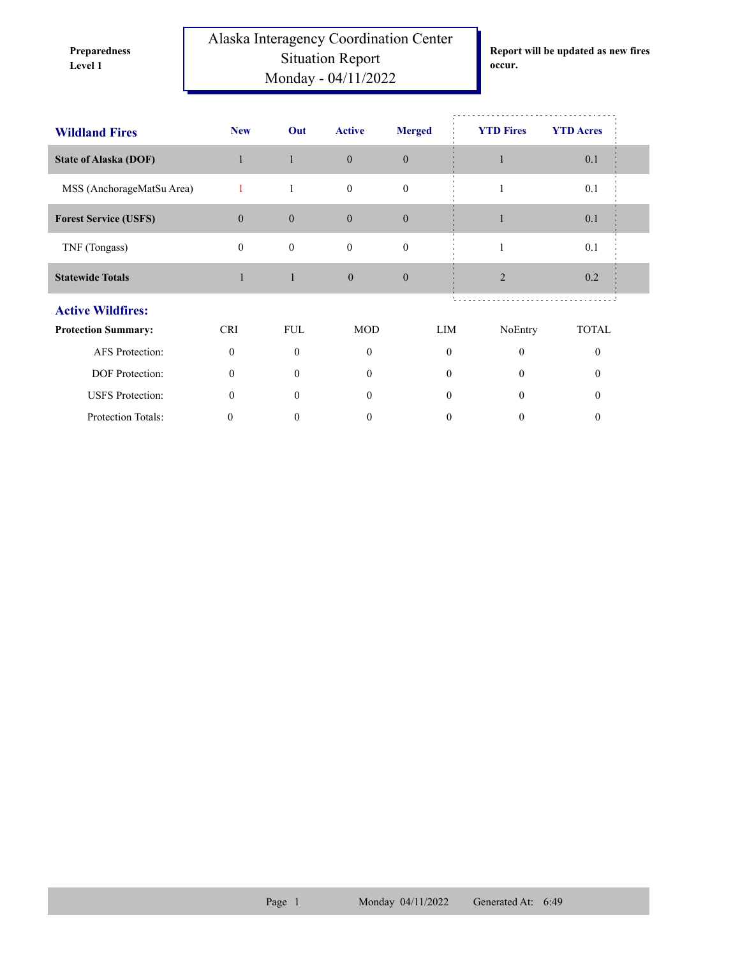**Preparedness** 

Alaska Interagency Coordination Center Situation Report **Level 1 occur.** Monday - 04/11/2022

**Report will be updated as new fires** 

| <b>Wildland Fires</b>        | <b>New</b>   | Out              | <b>Active</b> | <b>Merged</b>    | <b>YTD Fires</b> | <b>YTD</b> Acres |  |
|------------------------------|--------------|------------------|---------------|------------------|------------------|------------------|--|
| <b>State of Alaska (DOF)</b> |              | $\mathbf{1}$     | $\mathbf{0}$  | $\mathbf{0}$     |                  | 0.1              |  |
| MSS (AnchorageMatSu Area)    | 1            | $\mathbf{1}$     | $\mathbf{0}$  | $\boldsymbol{0}$ |                  | 0.1              |  |
| <b>Forest Service (USFS)</b> | $\Omega$     | $\mathbf{0}$     | $\Omega$      | $\theta$         |                  | 0.1              |  |
| TNF (Tongass)                | $\mathbf{0}$ | $\boldsymbol{0}$ | $\mathbf{0}$  | $\boldsymbol{0}$ |                  | 0.1              |  |
| <b>Statewide Totals</b>      | 1            | $\mathbf{1}$     | $\theta$      | $\mathbf{0}$     | $\overline{2}$   | 0.2              |  |
| <b>Active Wildfires:</b>     |              |                  |               |                  |                  |                  |  |
| <b>Protection Summary:</b>   | <b>CRI</b>   | <b>FUL</b>       | <b>MOD</b>    | LIM              | NoEntry          | <b>TOTAL</b>     |  |
| AFS Protection:              | $\mathbf{0}$ | $\mathbf{0}$     | $\mathbf{0}$  | $\mathbf{0}$     | $\boldsymbol{0}$ | $\theta$         |  |
| DOF Protection:              | $\theta$     | $\theta$         | 0             | 0                | $\Omega$         | $\Omega$         |  |
| <b>USFS</b> Protection:      | $\theta$     | $\theta$         | 0             | 0                | $\Omega$         | $\Omega$         |  |
| Protection Totals:           | 0            | 0                | 0             | 0                | 0                | 0                |  |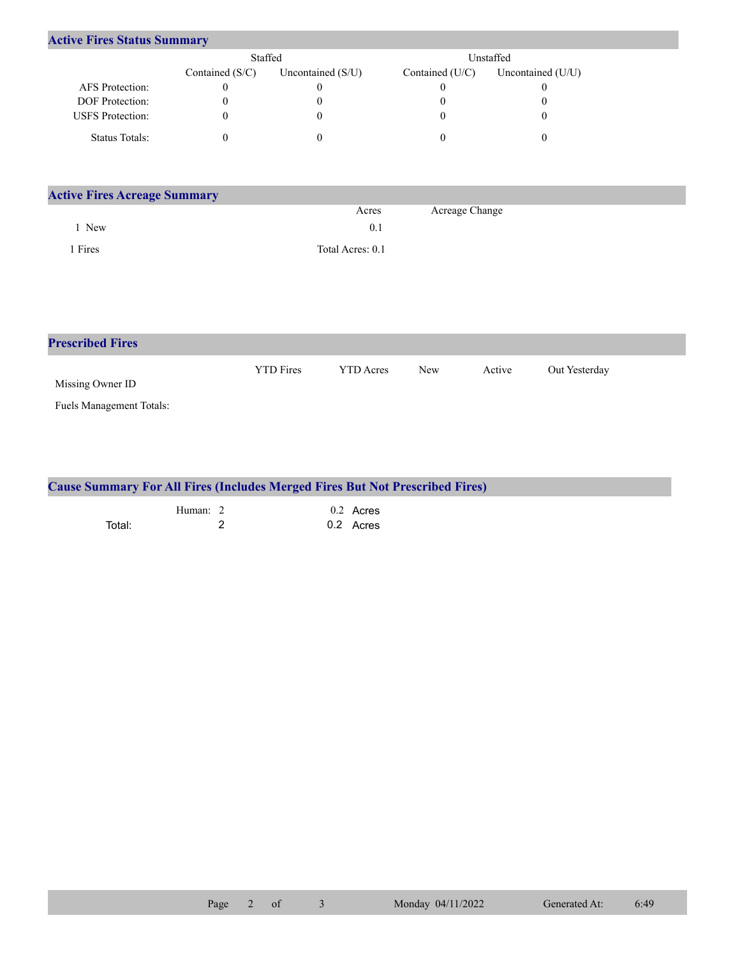| <b>Active Fires Status Summary</b> |                 |                     |                 |                     |  |  |  |  |
|------------------------------------|-----------------|---------------------|-----------------|---------------------|--|--|--|--|
|                                    | Staffed         |                     |                 | Unstaffed           |  |  |  |  |
|                                    | Contained (S/C) | Uncontained $(S/U)$ | Contained (U/C) | Uncontained $(U/U)$ |  |  |  |  |
| AFS Protection:                    |                 |                     |                 |                     |  |  |  |  |
| <b>DOF</b> Protection:             |                 |                     |                 |                     |  |  |  |  |
| <b>USFS</b> Protection:            |                 |                     |                 |                     |  |  |  |  |
| <b>Status Totals:</b>              |                 |                     |                 |                     |  |  |  |  |

| <b>Active Fires Acreage Summary</b> |                  |                |  |  |  |  |  |
|-------------------------------------|------------------|----------------|--|--|--|--|--|
|                                     | Acres            | Acreage Change |  |  |  |  |  |
| New                                 | 0.1              |                |  |  |  |  |  |
| Fires                               | Total Acres: 0.1 |                |  |  |  |  |  |

| <b>Prescribed Fires</b>  |                  |                  |            |        |               |
|--------------------------|------------------|------------------|------------|--------|---------------|
| Missing Owner ID         | <b>YTD</b> Fires | <b>YTD</b> Acres | <b>New</b> | Active | Out Yesterday |
| Fuels Management Totals: |                  |                  |            |        |               |

| <b>Cause Summary For All Fires (Includes Merged Fires But Not Prescribed Fires)</b> |          |  |           |  |  |  |  |
|-------------------------------------------------------------------------------------|----------|--|-----------|--|--|--|--|
|                                                                                     | Human: 2 |  | 0.2 Acres |  |  |  |  |
| Total:                                                                              |          |  | 0.2 Acres |  |  |  |  |